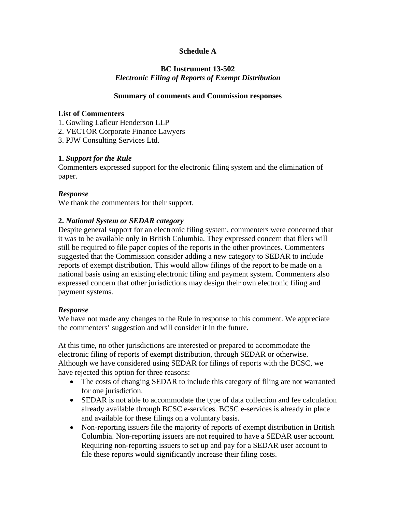# **Schedule A**

# **BC Instrument 13-502**  *Electronic Filing of Reports of Exempt Distribution*

#### **Summary of comments and Commission responses**

#### **List of Commenters**

1. Gowling Lafleur Henderson LLP

2. VECTOR Corporate Finance Lawyers

3. PJW Consulting Services Ltd.

### **1.** *Support for the Rule*

Commenters expressed support for the electronic filing system and the elimination of paper.

### *Response*

We thank the commenters for their support.

### **2.** *National System or SEDAR category*

Despite general support for an electronic filing system, commenters were concerned that it was to be available only in British Columbia. They expressed concern that filers will still be required to file paper copies of the reports in the other provinces. Commenters suggested that the Commission consider adding a new category to SEDAR to include reports of exempt distribution. This would allow filings of the report to be made on a national basis using an existing electronic filing and payment system. Commenters also expressed concern that other jurisdictions may design their own electronic filing and payment systems.

### *Response*

We have not made any changes to the Rule in response to this comment. We appreciate the commenters' suggestion and will consider it in the future.

At this time, no other jurisdictions are interested or prepared to accommodate the electronic filing of reports of exempt distribution, through SEDAR or otherwise. Although we have considered using SEDAR for filings of reports with the BCSC, we have rejected this option for three reasons:

- The costs of changing SEDAR to include this category of filing are not warranted for one jurisdiction.
- SEDAR is not able to accommodate the type of data collection and fee calculation already available through BCSC e-services. BCSC e-services is already in place and available for these filings on a voluntary basis.
- Non-reporting issuers file the majority of reports of exempt distribution in British Columbia. Non-reporting issuers are not required to have a SEDAR user account. Requiring non-reporting issuers to set up and pay for a SEDAR user account to file these reports would significantly increase their filing costs.